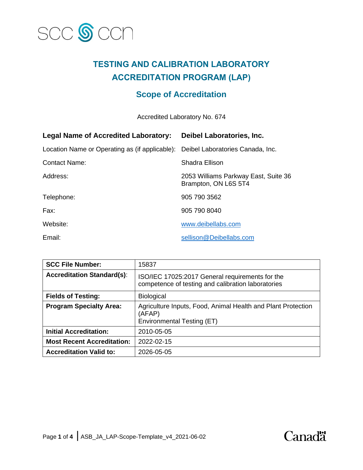

# **TESTING AND CALIBRATION LABORATORY ACCREDITATION PROGRAM (LAP)**

## **Scope of Accreditation**

Accredited Laboratory No. 674

| <b>Legal Name of Accredited Laboratory:</b>    | Deibel Laboratories, Inc.                                    |
|------------------------------------------------|--------------------------------------------------------------|
| Location Name or Operating as (if applicable): | Deibel Laboratories Canada, Inc.                             |
| <b>Contact Name:</b>                           | Shadra Ellison                                               |
| Address:                                       | 2053 Williams Parkway East, Suite 36<br>Brampton, ON L6S 5T4 |
| Telephone:                                     | 905 790 3562                                                 |
| Fax:                                           | 905 790 8040                                                 |
| Website:                                       | www.deibellabs.com                                           |
| Email:                                         | sellison@Deibellabs.com                                      |

| <b>SCC File Number:</b>           | 15837                                                                                                 |
|-----------------------------------|-------------------------------------------------------------------------------------------------------|
| <b>Accreditation Standard(s):</b> | ISO/IEC 17025:2017 General requirements for the<br>competence of testing and calibration laboratories |
| <b>Fields of Testing:</b>         | <b>Biological</b>                                                                                     |
| <b>Program Specialty Area:</b>    | Agriculture Inputs, Food, Animal Health and Plant Protection<br>(AFAP)<br>Environmental Testing (ET)  |
| <b>Initial Accreditation:</b>     | 2010-05-05                                                                                            |
| <b>Most Recent Accreditation:</b> | 2022-02-15                                                                                            |
| <b>Accreditation Valid to:</b>    | 2026-05-05                                                                                            |

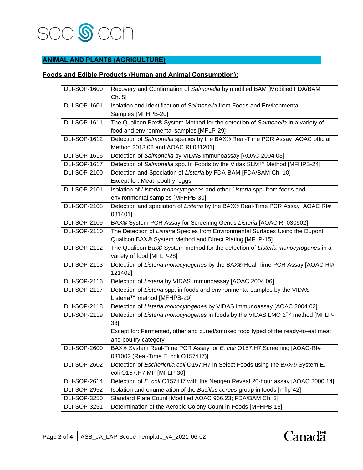

### **ANIMAL AND PLANTS (AGRICULTURE)**

#### **Foods and Edible Products (Human and Animal Consumption):**

| <b>DLI-SOP-1600</b> | Recovery and Confirmation of Salmonella by modified BAM [Modified FDA/BAM         |
|---------------------|-----------------------------------------------------------------------------------|
|                     | Ch. 5]                                                                            |
| <b>DLI-SOP-1601</b> | Isolation and Identification of Salmonella from Foods and Environmental           |
|                     | Samples [MFHPB-20]                                                                |
| <b>DLI-SOP-1611</b> | The Qualicon Bax® System Method for the detection of Salmonella in a variety of   |
|                     | food and environmental samples [MFLP-29]                                          |
| <b>DLI-SOP-1612</b> | Detection of Salmonella species by the BAX® Real-Time PCR Assay [AOAC official    |
|                     | Method 2013.02 and AOAC RI 081201]                                                |
| <b>DLI-SOP-1616</b> | Detection of Salmonella by VIDAS Immunoassay [AOAC 2004.03]                       |
| <b>DLI-SOP-1617</b> | Detection of Salmonella spp. In Foods by the Vidas SLM™ Method [MFHPB-24]         |
| <b>DLI-SOP-2100</b> | Detection and Speciation of Listeria by FDA-BAM [FDA/BAM Ch. 10]                  |
|                     | Except for: Meat, poultry, eggs                                                   |
| <b>DLI-SOP-2101</b> | Isolation of Listeria monocytogenes and other Listeria spp. from foods and        |
|                     | environmental samples [MFHPB-30]                                                  |
| <b>DLI-SOP-2108</b> | Detection and speciation of Listeria by the BAX® Real-Time PCR Assay [AOAC RI#    |
|                     | 081401]                                                                           |
| <b>DLI-SOP-2109</b> | BAX® System PCR Assay for Screening Genus Listeria [AOAC RI 030502]               |
| <b>DLI-SOP-2110</b> | The Detection of Listeria Species from Environmental Surfaces Using the Dupont    |
|                     | Qualicon BAX® System Method and Direct Plating [MFLP-15]                          |
| <b>DLI-SOP-2112</b> | The Qualicon Bax® System method for the detection of Listeria monocytogenes in a  |
|                     | variety of food [MFLP-28]                                                         |
| <b>DLI-SOP-2113</b> | Detection of Listeria monocytogenes by the BAX® Real-Time PCR Assay [AOAC RI#     |
|                     | 121402]                                                                           |
| <b>DLI-SOP-2116</b> | Detection of Listeria by VIDAS Immunoassay [AOAC 2004.06]                         |
| <b>DLI-SOP-2117</b> | Detection of Listeria spp. in foods and environmental samples by the VIDAS        |
|                     | Listeria™ method [MFHPB-29]                                                       |
| <b>DLI-SOP-2118</b> | Detection of Listeria monocytogenes by VIDAS Immunoassay [AOAC 2004.02]           |
| <b>DLI-SOP-2119</b> | Detection of Listeria monocytogenes in foods by the VIDAS LMO 2™ method [MFLP-    |
|                     | 33]                                                                               |
|                     | Except for: Fermented, other and cured/smoked food typed of the ready-to-eat meat |
|                     | and poultry category                                                              |
| <b>DLI-SOP-2600</b> | BAX® System Real-Time PCR Assay for E. coli O157:H7 Screening [AOAC-RI#           |
|                     | 031002 (Real-Time E. coli O157:H7)]                                               |
| <b>DLI-SOP-2602</b> | Detection of Escherichia coli O157:H7 in Select Foods using the BAX® System E.    |
|                     | coli O157:H7 MP [MFLP-30]                                                         |
| <b>DLI-SOP-2614</b> | Detection of E. coli O157:H7 with the Neogen Reveal 20-hour assay [AOAC 2000.14]  |
| <b>DLI-SOP-2952</b> | Isolation and enumeration of the Bacillus cereus group in foods [mflp-42]         |
| <b>DLI-SOP-3250</b> | Standard Plate Count [Modified AOAC 966.23; FDA/BAM Ch. 3]                        |
| <b>DLI-SOP-3251</b> | Determination of the Aerobic Colony Count in Foods [MFHPB-18]                     |

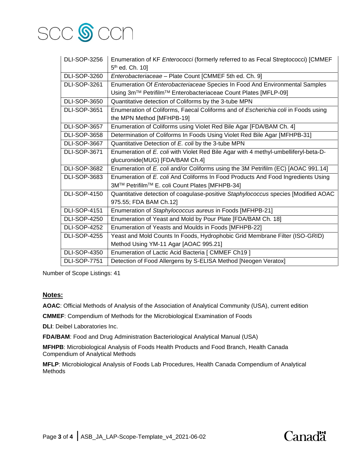

| <b>DLI-SOP-3256</b> | Enumeration of KF Enterococci (formerly referred to as Fecal Streptococci) [CMMEF<br>5 <sup>th</sup> ed. Ch. 10] |
|---------------------|------------------------------------------------------------------------------------------------------------------|
| <b>DLI-SOP-3260</b> | Enterobacteriaceae - Plate Count [CMMEF 5th ed. Ch. 9]                                                           |
| <b>DLI-SOP-3261</b> | Enumeration Of Enterobacteriaceae Species In Food And Environmental Samples                                      |
|                     | Using 3m™ Petrifilm™ Enterobacteriaceae Count Plates [MFLP-09]                                                   |
| <b>DLI-SOP-3650</b> | Quantitative detection of Coliforms by the 3-tube MPN                                                            |
| <b>DLI-SOP-3651</b> | Enumeration of Coliforms, Faecal Coliforms and of Escherichia coli in Foods using                                |
|                     | the MPN Method [MFHPB-19]                                                                                        |
| <b>DLI-SOP-3657</b> | Enumeration of Coliforms using Violet Red Bile Agar [FDA/BAM Ch. 4]                                              |
| <b>DLI-SOP-3658</b> | Determination of Coliforms In Foods Using Violet Red Bile Agar [MFHPB-31]                                        |
| <b>DLI-SOP-3667</b> | Quantitative Detection of E. coli by the 3-tube MPN                                                              |
| <b>DLI-SOP-3671</b> | Enumeration of E. coli with Violet Red Bile Agar with 4 methyl-umbelliferyl-beta-D-                              |
|                     | glucuronide(MUG) [FDA/BAM Ch.4]                                                                                  |
| <b>DLI-SOP-3682</b> | Enumeration of E. coli and/or Coliforms using the 3M Petrifilm (EC) [AOAC 991.14]                                |
| <b>DLI-SOP-3683</b> | Enumeration of E. coli And Coliforms In Food Products And Food Ingredients Using                                 |
|                     | 3M™ Petrifilm™ E. coli Count Plates [MFHPB-34]                                                                   |
| <b>DLI-SOP-4150</b> | Quantitative detection of coagulase-positive Staphylococcus species [Modified AOAC                               |
|                     | 975.55; FDA BAM Ch.12]                                                                                           |
| <b>DLI-SOP-4151</b> | Enumeration of Staphylococcus aureus in Foods [MFHPB-21]                                                         |
| <b>DLI-SOP-4250</b> | Enumeration of Yeast and Mold by Pour Plate [FDA/BAM Ch. 18]                                                     |
| <b>DLI-SOP-4252</b> | Enumeration of Yeasts and Moulds in Foods [MFHPB-22]                                                             |
| <b>DLI-SOP-4255</b> | Yeast and Mold Counts In Foods, Hydrophobic Grid Membrane Filter (ISO-GRID)                                      |
|                     | Method Using YM-11 Agar [AOAC 995.21]                                                                            |
| <b>DLI-SOP-4350</b> | Enumeration of Lactic Acid Bacteria [ CMMEF Ch19 ]                                                               |
| <b>DLI-SOP-7751</b> | Detection of Food Allergens by S-ELISA Method [Neogen Veratox]                                                   |

Number of Scope Listings: 41

#### **Notes:**

**AOAC**: Official Methods of Analysis of the Association of Analytical Community (USA), current edition

**CMMEF**: Compendium of Methods for the Microbiological Examination of Foods

**DLI**: Deibel Laboratories Inc.

**FDA/BAM**: Food and Drug Administration Bacteriological Analytical Manual (USA)

**MFHPB**: Microbiological Analysis of Foods Health Products and Food Branch, Health Canada Compendium of Analytical Methods

**MFLP**: Microbiological Analysis of Foods Lab Procedures, Health Canada Compendium of Analytical Methods